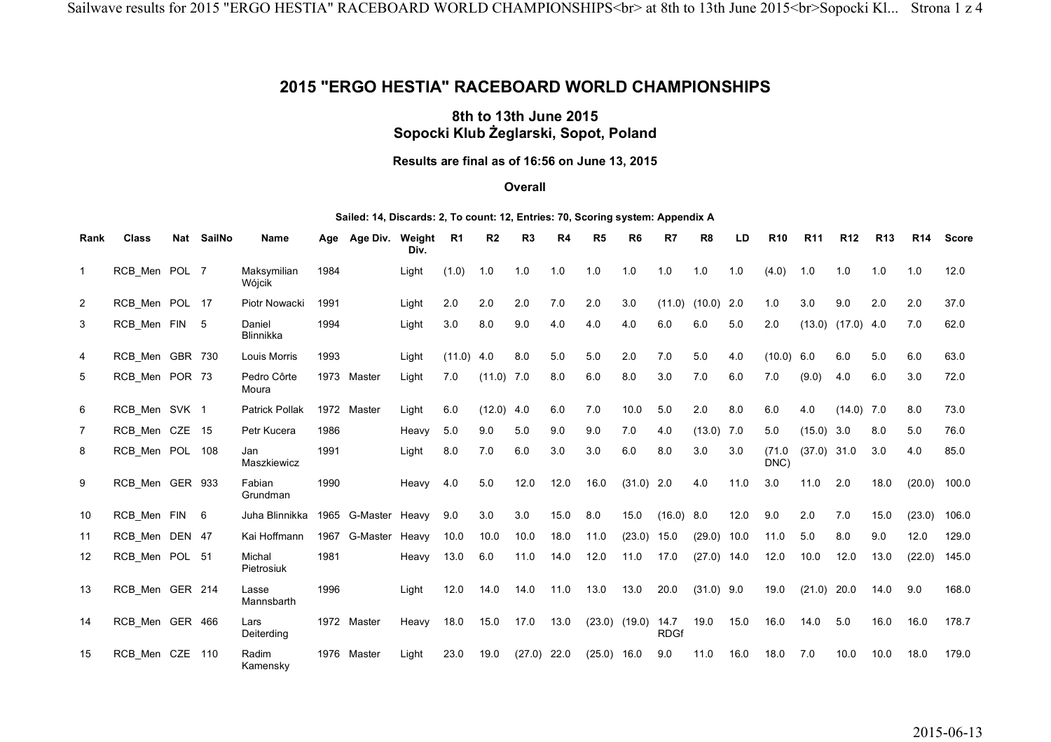## **2015 "ERGO HESTIA" RACEBOARD WORLD CHAMPIONSHIPS**

## **8th to 13th June 2015 Sopocki Klub Żeglarski, Sopot, Poland**

## **Results are final as of 16:56 on June 13, 2015**

### **Overall**

#### **Sailed: 14, Discards: 2, To count: 12, Entries: 70, Scoring system: Appendix A**

| Rank           | <b>Class</b>    | Nat SailNo | <b>Name</b>                | Age  | Age Div.      | Weight<br>Div. | R <sub>1</sub> | R <sub>2</sub> | R <sub>3</sub> | R <sub>4</sub> | R <sub>5</sub> | R <sub>6</sub> | R7                  | R <sub>8</sub> | LD   | R <sub>10</sub> | R <sub>11</sub> | R <sub>12</sub> | R <sub>13</sub> | R <sub>14</sub> | <b>Score</b> |
|----------------|-----------------|------------|----------------------------|------|---------------|----------------|----------------|----------------|----------------|----------------|----------------|----------------|---------------------|----------------|------|-----------------|-----------------|-----------------|-----------------|-----------------|--------------|
| $\mathbf{1}$   | RCB_Men POL 7   |            | Maksymilian<br>Wójcik      | 1984 |               | Light          | (1.0)          | 1.0            | 1.0            | 1.0            | 1.0            | 1.0            | 1.0                 | 1.0            | 1.0  | (4.0)           | 1.0             | 1.0             | 1.0             | 1.0             | 12.0         |
| $\overline{2}$ | RCB Men POL 17  |            | Piotr Nowacki              | 1991 |               | Light          | 2.0            | 2.0            | 2.0            | 7.0            | 2.0            | 3.0            | (11.0)              | (10.0)         | 2.0  | 1.0             | 3.0             | 9.0             | 2.0             | 2.0             | 37.0         |
| 3              | RCB_Men FIN 5   |            | Daniel<br><b>Blinnikka</b> | 1994 |               | Light          | 3.0            | 8.0            | 9.0            | 4.0            | 4.0            | 4.0            | 6.0                 | 6.0            | 5.0  | 2.0             | (13.0)          | (17.0)          | 4.0             | 7.0             | 62.0         |
| $\overline{4}$ | RCB Men GBR 730 |            | Louis Morris               | 1993 |               | Light          | (11.0)         | 4.0            | 8.0            | 5.0            | 5.0            | 2.0            | 7.0                 | 5.0            | 4.0  | (10.0)          | 6.0             | 6.0             | 5.0             | 6.0             | 63.0         |
| 5              | RCB_Men POR 73  |            | Pedro Côrte<br>Moura       |      | 1973 Master   | Light          | 7.0            | (11.0)         | 7.0            | 8.0            | 6.0            | 8.0            | 3.0                 | 7.0            | 6.0  | 7.0             | (9.0)           | 4.0             | 6.0             | 3.0             | 72.0         |
| 6              | RCB Men SVK 1   |            | <b>Patrick Pollak</b>      |      | 1972 Master   | Light          | 6.0            | (12.0)         | 4.0            | 6.0            | 7.0            | 10.0           | 5.0                 | 2.0            | 8.0  | 6.0             | 4.0             | $(14.0)$ 7.0    |                 | 8.0             | 73.0         |
| $\overline{7}$ | RCB_Men CZE 15  |            | Petr Kucera                | 1986 |               | Heavy          | 5.0            | 9.0            | 5.0            | 9.0            | 9.0            | 7.0            | 4.0                 | (13.0)         | 7.0  | 5.0             | (15.0)          | 3.0             | 8.0             | 5.0             | 76.0         |
| 8              | RCB_Men POL 108 |            | Jan<br>Maszkiewicz         | 1991 |               | Light          | 8.0            | 7.0            | 6.0            | 3.0            | 3.0            | 6.0            | 8.0                 | 3.0            | 3.0  | (71.0<br>DNC)   | (37.0)          | 31.0            | 3.0             | 4.0             | 85.0         |
| 9              | RCB Men GER 933 |            | Fabian<br>Grundman         | 1990 |               | Heavy          | 4.0            | 5.0            | 12.0           | 12.0           | 16.0           | (31.0)         | 2.0                 | 4.0            | 11.0 | 3.0             | 11.0            | 2.0             | 18.0            | (20.0)          | 100.0        |
| 10             | RCB Men FIN 6   |            | Juha Blinnikka             |      | 1965 G-Master | Heavy          | 9.0            | 3.0            | 3.0            | 15.0           | 8.0            | 15.0           | (16.0) 8.0          |                | 12.0 | 9.0             | 2.0             | 7.0             | 15.0            | (23.0)          | 106.0        |
| 11             | RCB Men DEN 47  |            | Kai Hoffmann               |      | 1967 G-Master | Heavy          | 10.0           | 10.0           | 10.0           | 18.0           | 11.0           | (23.0)         | 15.0                | (29.0)         | 10.0 | 11.0            | 5.0             | 8.0             | 9.0             | 12.0            | 129.0        |
| 12             | RCB_Men POL 51  |            | Michal<br>Pietrosiuk       | 1981 |               | Heavy          | 13.0           | 6.0            | 11.0           | 14.0           | 12.0           | 11.0           | 17.0                | $(27.0)$ 14.0  |      | 12.0            | 10.0            | 12.0            | 13.0            | (22.0)          | 145.0        |
| 13             | RCB Men GER 214 |            | Lasse<br>Mannsbarth        | 1996 |               | Light          | 12.0           | 14.0           | 14.0           | 11.0           | 13.0           | 13.0           | 20.0                | $(31.0)$ 9.0   |      | 19.0            | (21.0)          | 20.0            | 14.0            | 9.0             | 168.0        |
| 14             | RCB_Men GER 466 |            | Lars<br>Deiterding         |      | 1972 Master   | Heavy          | 18.0           | 15.0           | 17.0           | 13.0           | (23.0)         | (19.0)         | 14.7<br><b>RDGf</b> | 19.0           | 15.0 | 16.0            | 14.0            | 5.0             | 16.0            | 16.0            | 178.7        |
| 15             | RCB_Men CZE     | 110        | Radim<br>Kamensky          | 1976 | Master        | Light          | 23.0           | 19.0           | $(27.0)$ 22.0  |                | $(25.0)$ 16.0  |                | 9.0                 | 11.0           | 16.0 | 18.0            | 7.0             | 10.0            | 10.0            | 18.0            | 179.0        |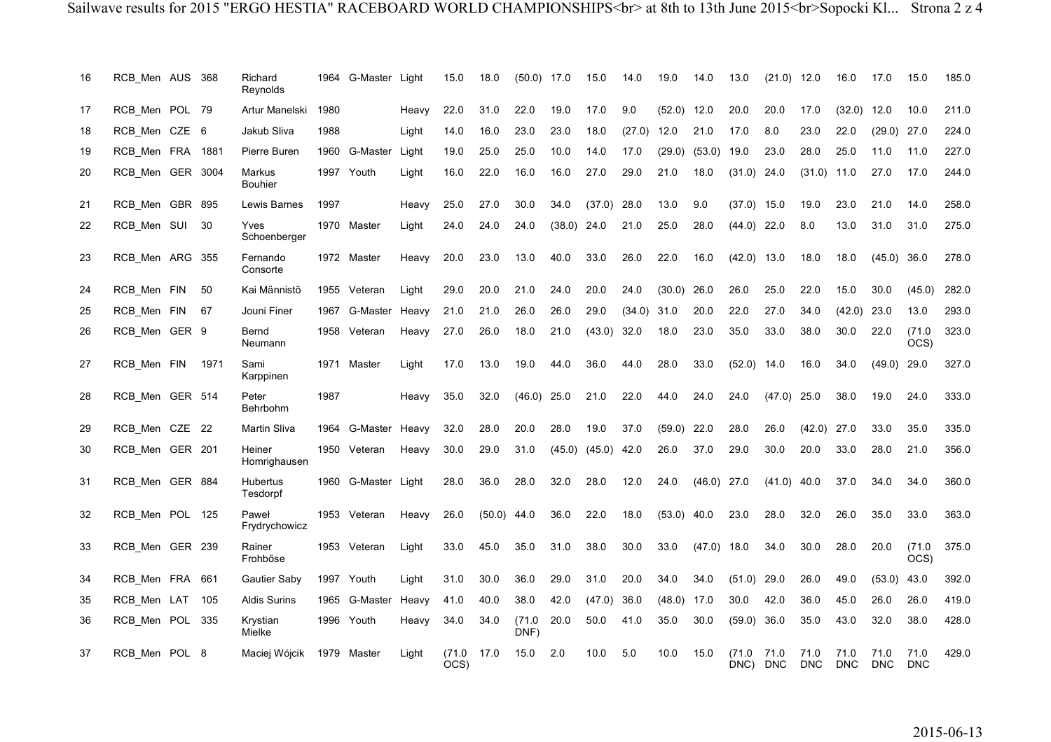| 16 | RCB Men AUS 368  |      | Richard<br>Reynolds      |      | 1964 G-Master Light |       | 15.0          | 18.0          | $(50.0)$ 17.0 |               | 15.0                     | 14.0   | 19.0          | 14.0          | 13.0          | (21.0)             | 12.0               | 16.0               | 17.0               | 15.0                      | 185.0 |
|----|------------------|------|--------------------------|------|---------------------|-------|---------------|---------------|---------------|---------------|--------------------------|--------|---------------|---------------|---------------|--------------------|--------------------|--------------------|--------------------|---------------------------|-------|
| 17 | RCB_Men POL 79   |      | Artur Manelski           | 1980 |                     | Heavy | 22.0          | 31.0          | 22.0          | 19.0          | 17.0                     | 9.0    | $(52.0)$ 12.0 |               | 20.0          | 20.0               | 17.0               | (32.0)             | 12.0               | 10.0                      | 211.0 |
| 18 | RCB Men CZE 6    |      | Jakub Sliva              | 1988 |                     | Light | 14.0          | 16.0          | 23.0          | 23.0          | 18.0                     | (27.0) | 12.0          | 21.0          | 17.0          | 8.0                | 23.0               | 22.0               | (29.0)             | 27.0                      | 224.0 |
| 19 | RCB_Men FRA 1881 |      | Pierre Buren             |      | 1960 G-Master       | Light | 19.0          | 25.0          | 25.0          | 10.0          | 14.0                     | 17.0   | (29.0)        | (53.0)        | 19.0          | 23.0               | 28.0               | 25.0               | 11.0               | 11.0                      | 227.0 |
| 20 | RCB Men GER 3004 |      | Markus<br><b>Bouhier</b> |      | 1997 Youth          | Light | 16.0          | 22.0          | 16.0          | 16.0          | 27.0                     | 29.0   | 21.0          | 18.0          | (31.0)        | 24.0               | (31.0)             | 11.0               | 27.0               | 17.0                      | 244.0 |
| 21 | RCB Men GBR 895  |      | Lewis Barnes             | 1997 |                     | Heavy | 25.0          | 27.0          | 30.0          | 34.0          | (37.0)                   | 28.0   | 13.0          | 9.0           | (37.0)        | 15.0               | 19.0               | 23.0               | 21.0               | 14.0                      | 258.0 |
| 22 | RCB_Men SUI 30   |      | Yves<br>Schoenberger     |      | 1970 Master         | Light | 24.0          | 24.0          | 24.0          | $(38.0)$ 24.0 |                          | 21.0   | 25.0          | 28.0          | $(44.0)$ 22.0 |                    | 8.0                | 13.0               | 31.0               | 31.0                      | 275.0 |
| 23 | RCB_Men ARG 355  |      | Fernando<br>Consorte     |      | 1972 Master         | Heavy | 20.0          | 23.0          | 13.0          | 40.0          | 33.0                     | 26.0   | 22.0          | 16.0          | $(42.0)$ 13.0 |                    | 18.0               | 18.0               | $(45.0)$ 36.0      |                           | 278.0 |
| 24 | RCB_Men FIN      | 50   | Kai Männistö             |      | 1955 Veteran        | Light | 29.0          | 20.0          | 21.0          | 24.0          | 20.0                     | 24.0   | (30.0)        | 26.0          | 26.0          | 25.0               | 22.0               | 15.0               | 30.0               | (45.0)                    | 282.0 |
| 25 | RCB Men FIN      | 67   | Jouni Finer              | 1967 | G-Master            | Heavy | 21.0          | 21.0          | 26.0          | 26.0          | 29.0                     | (34.0) | 31.0          | 20.0          | 22.0          | 27.0               | 34.0               | (42.0)             | 23.0               | 13.0                      | 293.0 |
| 26 | RCB_Men GER 9    |      | Bernd<br>Neumann         |      | 1958 Veteran        | Heavy | 27.0          | 26.0          | 18.0          | 21.0          | (43.0)                   | 32.0   | 18.0          | 23.0          | 35.0          | 33.0               | 38.0               | 30.0               | 22.0               | (71.0<br>$\overline{OCS}$ | 323.0 |
| 27 | RCB Men FIN      | 1971 | Sami<br>Karppinen        |      | 1971 Master         | Light | 17.0          | 13.0          | 19.0          | 44.0          | 36.0                     | 44.0   | 28.0          | 33.0          | (52.0)        | 14.0               | 16.0               | 34.0               | (49.0)             | 29.0                      | 327.0 |
| 28 | RCB Men GER 514  |      | Peter<br>Behrbohm        | 1987 |                     | Heavy | 35.0          | 32.0          | $(46.0)$ 25.0 |               | 21.0                     | 22.0   | 44.0          | 24.0          | 24.0          | (47.0)             | 25.0               | 38.0               | 19.0               | 24.0                      | 333.0 |
| 29 | RCB Men CZE 22   |      | Martin Sliva             |      | 1964 G-Master       | Heavy | 32.0          | 28.0          | 20.0          | 28.0          | 19.0                     | 37.0   | (59.0)        | 22.0          | 28.0          | 26.0               | (42.0)             | 27.0               | 33.0               | 35.0                      | 335.0 |
| 30 | RCB_Men GER 201  |      | Heiner<br>Homrighausen   |      | 1950 Veteran        | Heavy | 30.0          | 29.0          | 31.0          |               | $(45.0)$ $(45.0)$ $42.0$ |        | 26.0          | 37.0          | 29.0          | 30.0               | 20.0               | 33.0               | 28.0               | 21.0                      | 356.0 |
| 31 | RCB_Men GER 884  |      | Hubertus<br>Tesdorpf     |      | 1960 G-Master Light |       | 28.0          | 36.0          | 28.0          | 32.0          | 28.0                     | 12.0   | 24.0          | $(46.0)$ 27.0 |               | (41.0)             | 40.0               | 37.0               | 34.0               | 34.0                      | 360.0 |
| 32 | RCB_Men POL 125  |      | Paweł<br>Frydrychowicz   |      | 1953 Veteran        | Heavy | 26.0          | $(50.0)$ 44.0 |               | 36.0          | 22.0                     | 18.0   | $(53.0)$ 40.0 |               | 23.0          | 28.0               | 32.0               | 26.0               | 35.0               | 33.0                      | 363.0 |
| 33 | RCB Men GER 239  |      | Rainer<br>Frohböse       |      | 1953 Veteran        | Light | 33.0          | 45.0          | 35.0          | 31.0          | 38.0                     | 30.0   | 33.0          | (47.0)        | 18.0          | 34.0               | 30.0               | 28.0               | 20.0               | (71.0<br>OCS)             | 375.0 |
| 34 | RCB_Men FRA      | 661  | <b>Gautier Saby</b>      |      | 1997 Youth          | Light | 31.0          | 30.0          | 36.0          | 29.0          | 31.0                     | 20.0   | 34.0          | 34.0          | (51.0)        | 29.0               | 26.0               | 49.0               | (53.0)             | 43.0                      | 392.0 |
| 35 | RCB Men LAT      | 105  | <b>Aldis Surins</b>      | 1965 | G-Master            | Heavy | 41.0          | 40.0          | 38.0          | 42.0          | (47.0)                   | 36.0   | (48.0)        | 17.0          | 30.0          | 42.0               | 36.0               | 45.0               | 26.0               | 26.0                      | 419.0 |
| 36 | RCB_Men POL 335  |      | Krystian<br>Mielke       |      | 1996 Youth          | Heavy | 34.0          | 34.0          | (71.0<br>DNF) | 20.0          | 50.0                     | 41.0   | 35.0          | 30.0          | (59.0)        | 36.0               | 35.0               | 43.0               | 32.0               | 38.0                      | 428.0 |
| 37 | RCB_Men POL 8    |      | Maciej Wójcik            |      | 1979 Master         | Light | (71.0<br>OCS) | 17.0          | 15.0          | 2.0           | 10.0                     | 5.0    | 10.0          | 15.0          | (71.0<br>DNC) | 71.0<br><b>DNC</b> | 71.0<br><b>DNC</b> | 71.0<br><b>DNC</b> | 71.0<br><b>DNC</b> | 71.0<br><b>DNC</b>        | 429.0 |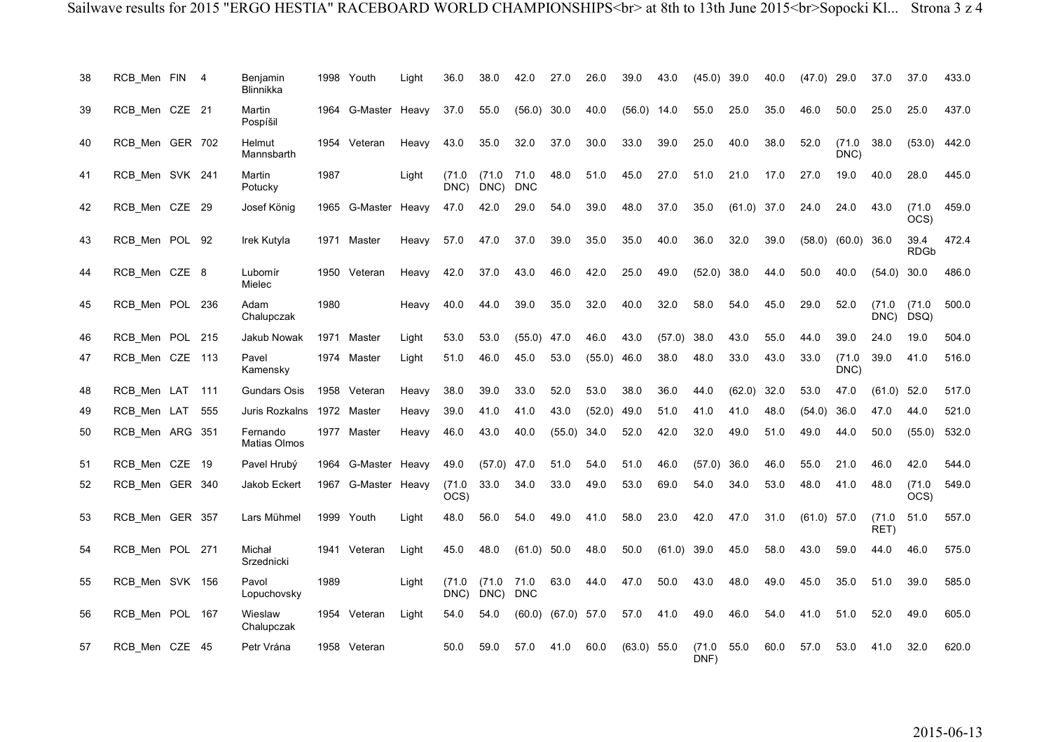| 38 | RCB_Men FIN 4   |     | Benjamin<br><b>Blinnikka</b>    |      | 1998 Youth          | Light | 36.0          | 38.0          | 42.0               | 27.0   | 26.0          | 39.0          | 43.0   | (45.0)        | 39.0          | 40.0 | (47.0) | 29.0           | 37.0           | 37.0                | 433.0 |
|----|-----------------|-----|---------------------------------|------|---------------------|-------|---------------|---------------|--------------------|--------|---------------|---------------|--------|---------------|---------------|------|--------|----------------|----------------|---------------------|-------|
| 39 | RCB_Men CZE 21  |     | Martin<br>Pospíšil              |      | 1964 G-Master Heavy |       | 37.0          | 55.0          | (56.0)             | 30.0   | 40.0          | $(56.0)$ 14.0 |        | 55.0          | 25.0          | 35.0 | 46.0   | 50.0           | 25.0           | 25.0                | 437.0 |
| 40 | RCB Men GER 702 |     | Helmut<br>Mannsbarth            |      | 1954 Veteran        | Heavy | 43.0          | 35.0          | 32.0               | 37.0   | 30.0          | 33.0          | 39.0   | 25.0          | 40.0          | 38.0 | 52.0   | (71.0)<br>DNC) | 38.0           | (53.0)              | 442.0 |
| 41 | RCB_Men SVK 241 |     | Martin<br>Potucky               | 1987 |                     | Light | (71.0<br>DNC) | (71.0<br>DNC) | 71.0<br><b>DNC</b> | 48.0   | 51.0          | 45.0          | 27.0   | 51.0          | 21.0          | 17.0 | 27.0   | 19.0           | 40.0           | 28.0                | 445.0 |
| 42 | RCB_Men CZE 29  |     | Josef König                     | 1965 | G-Master            | Heavy | 47.0          | 42.0          | 29.0               | 54.0   | 39.0          | 48.0          | 37.0   | 35.0          | $(61.0)$ 37.0 |      | 24.0   | 24.0           | 43.0           | (71.0<br>OCS)       | 459.0 |
| 43 | RCB Men POL 92  |     | Irek Kutyla                     | 1971 | Master              | Heavy | 57.0          | 47.0          | 37.0               | 39.0   | 35.0          | 35.0          | 40.0   | 36.0          | 32.0          | 39.0 | (58.0) | (60.0)         | 36.0           | 39.4<br><b>RDGb</b> | 472.4 |
| 44 | RCB Men CZE 8   |     | Lubomír<br>Mielec               |      | 1950 Veteran        | Heavy | 42.0          | 37.0          | 43.0               | 46.0   | 42.0          | 25.0          | 49.0   | (52.0)        | 38.0          | 44.0 | 50.0   | 40.0           | (54.0)         | 30.0                | 486.0 |
| 45 | RCB Men POL 236 |     | Adam<br>Chalupczak              | 1980 |                     | Heavy | 40.0          | 44.0          | 39.0               | 35.0   | 32.0          | 40.0          | 32.0   | 58.0          | 54.0          | 45.0 | 29.0   | 52.0           | (71.0)<br>DNC) | (71.0<br>DSQ)       | 500.0 |
| 46 | RCB_Men POL 215 |     | Jakub Nowak                     | 1971 | Master              | Light | 53.0          | 53.0          | (55.0)             | 47.0   | 46.0          | 43.0          | (57.0) | 38.0          | 43.0          | 55.0 | 44.0   | 39.0           | 24.0           | 19.0                | 504.0 |
| 47 | RCB_Men CZE 113 |     | Pavel<br>Kamensky               |      | 1974 Master         | Light | 51.0          | 46.0          | 45.0               | 53.0   | $(55.0)$ 46.0 |               | 38.0   | 48.0          | 33.0          | 43.0 | 33.0   | (71.0)<br>DNC) | 39.0           | 41.0                | 516.0 |
| 48 | RCB Men LAT     | 111 | <b>Gundars Osis</b>             |      | 1958 Veteran        | Heavy | 38.0          | 39.0          | 33.0               | 52.0   | 53.0          | 38.0          | 36.0   | 44.0          | (62.0)        | 32.0 | 53.0   | 47.0           | (61.0)         | 52.0                | 517.0 |
| 49 | RCB Men LAT     | 555 | Juris Rozkalns                  |      | 1972 Master         | Heavy | 39.0          | 41.0          | 41.0               | 43.0   | (52.0)        | 49.0          | 51.0   | 41.0          | 41.0          | 48.0 | (54.0) | 36.0           | 47.0           | 44.0                | 521.0 |
| 50 | RCB Men ARG 351 |     | Fernando<br><b>Matias Olmos</b> | 1977 | Master              | Heavy | 46.0          | 43.0          | 40.0               | (55.0) | 34.0          | 52.0          | 42.0   | 32.0          | 49.0          | 51.0 | 49.0   | 44.0           | 50.0           | (55.0)              | 532.0 |
| 51 | RCB Men CZE 19  |     | Pavel Hrubý                     |      | 1964 G-Master       | Heavy | 49.0          | (57.0)        | 47.0               | 51.0   | 54.0          | 51.0          | 46.0   | (57.0)        | 36.0          | 46.0 | 55.0   | 21.0           | 46.0           | 42.0                | 544.0 |
| 52 | RCB_Men GER 340 |     | Jakob Eckert                    |      | 1967 G-Master       | Heavy | (71.0<br>OCS) | 33.0          | 34.0               | 33.0   | 49.0          | 53.0          | 69.0   | 54.0          | 34.0          | 53.0 | 48.0   | 41.0           | 48.0           | (71.0<br>OCS)       | 549.0 |
| 53 | RCB_Men GER 357 |     | Lars Mühmel                     |      | 1999 Youth          | Light | 48.0          | 56.0          | 54.0               | 49.0   | 41.0          | 58.0          | 23.0   | 42.0          | 47.0          | 31.0 | (61.0) | 57.0           | (71.0<br>RET)  | 51.0                | 557.0 |
| 54 | RCB_Men POL 271 |     | Michał<br>Srzednicki            |      | 1941 Veteran        | Light | 45.0          | 48.0          | (61.0)             | 50.0   | 48.0          | 50.0          | (61.0) | 39.0          | 45.0          | 58.0 | 43.0   | 59.0           | 44.0           | 46.0                | 575.0 |
| 55 | RCB Men SVK 156 |     | Pavol<br>Lopuchovsky            | 1989 |                     | Light | (71.0<br>DNC) | (71.0<br>DNC  | 71.0<br><b>DNC</b> | 63.0   | 44.0          | 47.0          | 50.0   | 43.0          | 48.0          | 49.0 | 45.0   | 35.0           | 51.0           | 39.0                | 585.0 |
| 56 | RCB Men POL 167 |     | Wieslaw<br>Chalupczak           |      | 1954 Veteran        | Light | 54.0          | 54.0          | (60.0)             | (67.0) | 57.0          | 57.0          | 41.0   | 49.0          | 46.0          | 54.0 | 41.0   | 51.0           | 52.0           | 49.0                | 605.0 |
| 57 | RCB Men CZE 45  |     | Petr Vrána                      |      | 1958 Veteran        |       | 50.0          | 59.0          | 57.0               | 41.0   | 60.0          | $(63.0)$ 55.0 |        | (71.0<br>DNF) | 55.0          | 60.0 | 57.0   | 53.0           | 41.0           | 32.0                | 620.0 |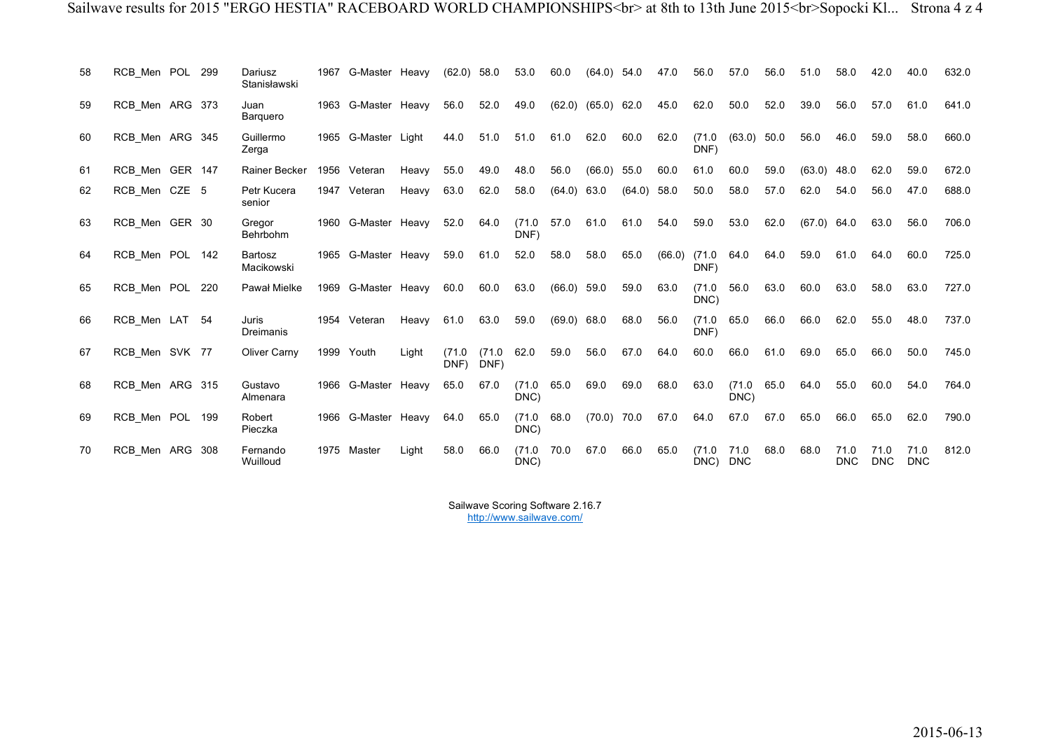| 58 | RCB_Men POL 299 |     | Dariusz<br>Stanisławski | 1967 | G-Master Heavy      |       | $(62.0)$ 58.0  |               | 53.0           | 60.0        | (64.0)        | 54.0   | 47.0   | 56.0           | 57.0               | 56.0 | 51.0   | 58.0               | 42.0       | 40.0               | 632.0 |
|----|-----------------|-----|-------------------------|------|---------------------|-------|----------------|---------------|----------------|-------------|---------------|--------|--------|----------------|--------------------|------|--------|--------------------|------------|--------------------|-------|
| 59 | RCB_Men ARG 373 |     | Juan<br><b>Barquero</b> | 1963 | G-Master Heavy      |       | 56.0           | 52.0          | 49.0           | (62.0)      | $(65.0)$ 62.0 |        | 45.0   | 62.0           | 50.0               | 52.0 | 39.0   | 56.0               | 57.0       | 61.0               | 641.0 |
| 60 | RCB Men ARG 345 |     | Guillermo<br>Zerga      |      | 1965 G-Master Light |       | 44.0           | 51.0          | 51.0           | 61.0        | 62.0          | 60.0   | 62.0   | (71.0<br>DNF)  | (63.0)             | 50.0 | 56.0   | 46.0               | 59.0       | 58.0               | 660.0 |
| 61 | RCB Men GER 147 |     | Rainer Becker           | 1956 | Veteran             | Heavy | 55.0           | 49.0          | 48.0           | 56.0        | (66.0)        | 55.0   | 60.0   | 61.0           | 60.0               | 59.0 | (63.0) | 48.0               | 62.0       | 59.0               | 672.0 |
| 62 | RCB Men CZE 5   |     | Petr Kucera<br>senior   | 1947 | Veteran             | Heavy | 63.0           | 62.0          | 58.0           | (64.0)      | 63.0          | (64.0) | 58.0   | 50.0           | 58.0               | 57.0 | 62.0   | 54.0               | 56.0       | 47.0               | 688.0 |
| 63 | RCB_Men GER 30  |     | Gregor<br>Behrbohm      |      | 1960 G-Master Heavy |       | 52.0           | 64.0          | (71.0)<br>DNF) | 57.0        | 61.0          | 61.0   | 54.0   | 59.0           | 53.0               | 62.0 | (67.0) | 64.0               | 63.0       | 56.0               | 706.0 |
| 64 | RCB_Men POL 142 |     | Bartosz<br>Macikowski   |      | 1965 G-Master Heavy |       | 59.0           | 61.0          | 52.0           | 58.0        | 58.0          | 65.0   | (66.0) | (71.0)<br>DNF) | 64.0               | 64.0 | 59.0   | 61.0               | 64.0       | 60.0               | 725.0 |
| 65 | RCB Men POL 220 |     | Pawał Mielke            | 1969 | G-Master Heavy      |       | 60.0           | 60.0          | 63.0           | (66.0)      | 59.0          | 59.0   | 63.0   | (71.0)<br>DNC) | 56.0               | 63.0 | 60.0   | 63.0               | 58.0       | 63.0               | 727.0 |
| 66 | RCB Men LAT 54  |     | Juris<br>Dreimanis      |      | 1954 Veteran        | Heavy | 61.0           | 63.0          | 59.0           | (69.0) 68.0 |               | 68.0   | 56.0   | (71.0)<br>DNF) | 65.0               | 66.0 | 66.0   | 62.0               | 55.0       | 48.0               | 737.0 |
| 67 | RCB_Men SVK 77  |     | Oliver Carny            | 1999 | Youth               | Light | (71.0)<br>DNF) | (71.0<br>DNF) | 62.0           | 59.0        | 56.0          | 67.0   | 64.0   | 60.0           | 66.0               | 61.0 | 69.0   | 65.0               | 66.0       | 50.0               | 745.0 |
| 68 | RCB Men ARG 315 |     | Gustavo<br>Almenara     |      | 1966 G-Master Heavy |       | 65.0           | 67.0          | (71.0)<br>DNC) | 65.0        | 69.0          | 69.0   | 68.0   | 63.0           | (71.0)<br>DNC)     | 65.0 | 64.0   | 55.0               | 60.0       | 54.0               | 764.0 |
| 69 | RCB Men POL     | 199 | Robert<br>Pieczka       | 1966 | G-Master Heavy      |       | 64.0           | 65.0          | (71.0)<br>DNC) | 68.0        | $(70.0)$ 70.0 |        | 67.0   | 64.0           | 67.0               | 67.0 | 65.0   | 66.0               | 65.0       | 62.0               | 790.0 |
| 70 | RCB Men ARG 308 |     | Fernando<br>Wuilloud    | 1975 | Master              | Light | 58.0           | 66.0          | (71.0)<br>DNC) | 70.0        | 67.0          | 66.0   | 65.0   | (71.0)<br>DNC) | 71.0<br><b>DNC</b> | 68.0 | 68.0   | 71.0<br><b>DNC</b> | <b>DNC</b> | 71.0<br><b>DNC</b> | 812.0 |

Sailwave Scoring Software 2.16.7 http://www.sailwave.com/